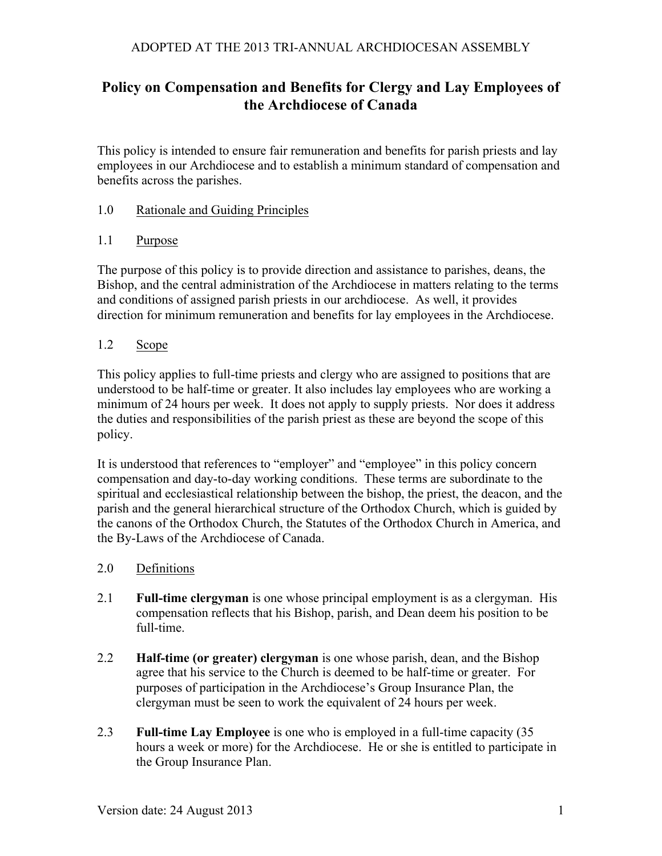# **Policy on Compensation and Benefits for Clergy and Lay Employees of the Archdiocese of Canada**

This policy is intended to ensure fair remuneration and benefits for parish priests and lay employees in our Archdiocese and to establish a minimum standard of compensation and benefits across the parishes.

### 1.0 Rationale and Guiding Principles

#### 1.1 Purpose

The purpose of this policy is to provide direction and assistance to parishes, deans, the Bishop, and the central administration of the Archdiocese in matters relating to the terms and conditions of assigned parish priests in our archdiocese. As well, it provides direction for minimum remuneration and benefits for lay employees in the Archdiocese.

### 1.2 Scope

This policy applies to full-time priests and clergy who are assigned to positions that are understood to be half-time or greater. It also includes lay employees who are working a minimum of 24 hours per week. It does not apply to supply priests. Nor does it address the duties and responsibilities of the parish priest as these are beyond the scope of this policy.

It is understood that references to "employer" and "employee" in this policy concern compensation and day-to-day working conditions. These terms are subordinate to the spiritual and ecclesiastical relationship between the bishop, the priest, the deacon, and the parish and the general hierarchical structure of the Orthodox Church, which is guided by the canons of the Orthodox Church, the Statutes of the Orthodox Church in America, and the By-Laws of the Archdiocese of Canada.

- 2.0 Definitions
- 2.1 **Full-time clergyman** is one whose principal employment is as a clergyman. His compensation reflects that his Bishop, parish, and Dean deem his position to be full-time.
- 2.2 **Half-time (or greater) clergyman** is one whose parish, dean, and the Bishop agree that his service to the Church is deemed to be half-time or greater. For purposes of participation in the Archdiocese's Group Insurance Plan, the clergyman must be seen to work the equivalent of 24 hours per week.
- 2.3 **Full-time Lay Employee** is one who is employed in a full-time capacity (35 hours a week or more) for the Archdiocese. He or she is entitled to participate in the Group Insurance Plan.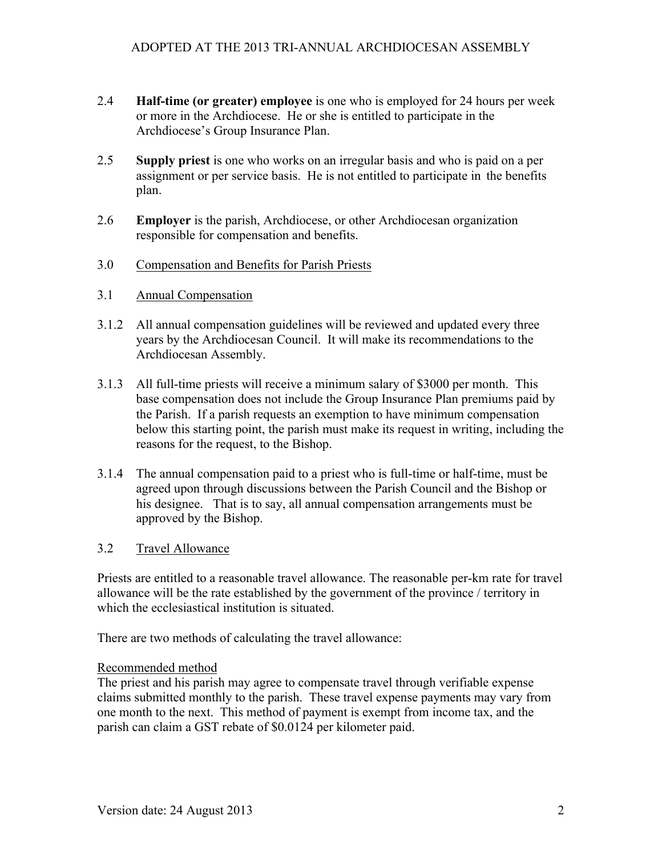- 2.4 **Half-time (or greater) employee** is one who is employed for 24 hours per week or more in the Archdiocese. He or she is entitled to participate in the Archdiocese's Group Insurance Plan.
- 2.5 **Supply priest** is one who works on an irregular basis and who is paid on a per assignment or per service basis. He is not entitled to participate in the benefits plan.
- 2.6 **Employer** is the parish, Archdiocese, or other Archdiocesan organization responsible for compensation and benefits.
- 3.0 Compensation and Benefits for Parish Priests
- 3.1 Annual Compensation
- 3.1.2 All annual compensation guidelines will be reviewed and updated every three years by the Archdiocesan Council. It will make its recommendations to the Archdiocesan Assembly.
- 3.1.3 All full-time priests will receive a minimum salary of \$3000 per month. This base compensation does not include the Group Insurance Plan premiums paid by the Parish. If a parish requests an exemption to have minimum compensation below this starting point, the parish must make its request in writing, including the reasons for the request, to the Bishop.
- 3.1.4 The annual compensation paid to a priest who is full-time or half-time, must be agreed upon through discussions between the Parish Council and the Bishop or his designee. That is to say, all annual compensation arrangements must be approved by the Bishop.

### 3.2 Travel Allowance

Priests are entitled to a reasonable travel allowance. The reasonable per-km rate for travel allowance will be the rate established by the government of the province / territory in which the ecclesiastical institution is situated.

There are two methods of calculating the travel allowance:

## Recommended method

The priest and his parish may agree to compensate travel through verifiable expense claims submitted monthly to the parish. These travel expense payments may vary from one month to the next. This method of payment is exempt from income tax, and the parish can claim a GST rebate of \$0.0124 per kilometer paid.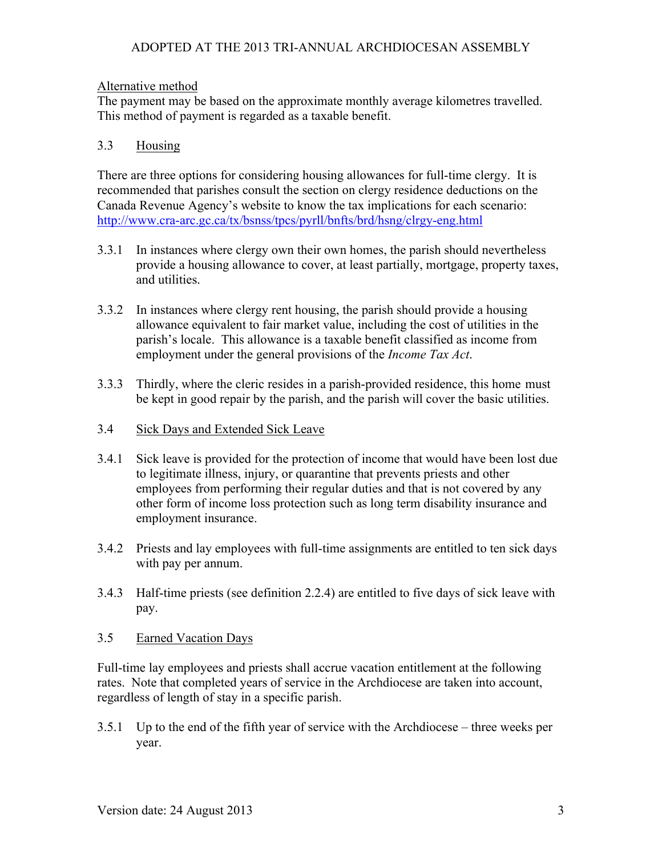### ADOPTED AT THE 2013 TRI-ANNUAL ARCHDIOCESAN ASSEMBLY

#### Alternative method

The payment may be based on the approximate monthly average kilometres travelled. This method of payment is regarded as a taxable benefit.

### 3.3 Housing

There are three options for considering housing allowances for full-time clergy. It is recommended that parishes consult the section on clergy residence deductions on the Canada Revenue Agency's website to know the tax implications for each scenario: http://www.cra-arc.gc.ca/tx/bsnss/tpcs/pyrll/bnfts/brd/hsng/clrgy-eng.html

- 3.3.1 In instances where clergy own their own homes, the parish should nevertheless provide a housing allowance to cover, at least partially, mortgage, property taxes, and utilities.
- 3.3.2 In instances where clergy rent housing, the parish should provide a housing allowance equivalent to fair market value, including the cost of utilities in the parish's locale. This allowance is a taxable benefit classified as income from employment under the general provisions of the *Income Tax Act*.
- 3.3.3 Thirdly, where the cleric resides in a parish-provided residence, this home must be kept in good repair by the parish, and the parish will cover the basic utilities.
- 3.4 Sick Days and Extended Sick Leave
- 3.4.1 Sick leave is provided for the protection of income that would have been lost due to legitimate illness, injury, or quarantine that prevents priests and other employees from performing their regular duties and that is not covered by any other form of income loss protection such as long term disability insurance and employment insurance.
- 3.4.2 Priests and lay employees with full-time assignments are entitled to ten sick days with pay per annum.
- 3.4.3 Half-time priests (see definition 2.2.4) are entitled to five days of sick leave with pay.
- 3.5 Earned Vacation Days

Full-time lay employees and priests shall accrue vacation entitlement at the following rates. Note that completed years of service in the Archdiocese are taken into account, regardless of length of stay in a specific parish.

3.5.1 Up to the end of the fifth year of service with the Archdiocese – three weeks per year.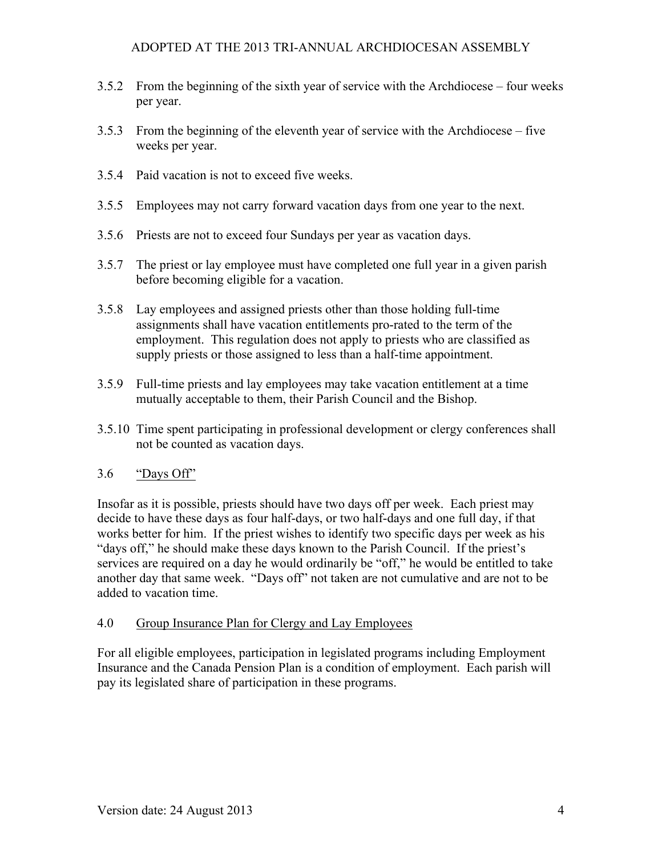### ADOPTED AT THE 2013 TRI-ANNUAL ARCHDIOCESAN ASSEMBLY

- 3.5.2 From the beginning of the sixth year of service with the Archdiocese four weeks per year.
- 3.5.3 From the beginning of the eleventh year of service with the Archdiocese five weeks per year.
- 3.5.4 Paid vacation is not to exceed five weeks.
- 3.5.5 Employees may not carry forward vacation days from one year to the next.
- 3.5.6 Priests are not to exceed four Sundays per year as vacation days.
- 3.5.7 The priest or lay employee must have completed one full year in a given parish before becoming eligible for a vacation.
- 3.5.8 Lay employees and assigned priests other than those holding full-time assignments shall have vacation entitlements pro-rated to the term of the employment. This regulation does not apply to priests who are classified as supply priests or those assigned to less than a half-time appointment.
- 3.5.9 Full-time priests and lay employees may take vacation entitlement at a time mutually acceptable to them, their Parish Council and the Bishop.
- 3.5.10 Time spent participating in professional development or clergy conferences shall not be counted as vacation days.

### 3.6 "Days Off"

Insofar as it is possible, priests should have two days off per week. Each priest may decide to have these days as four half-days, or two half-days and one full day, if that works better for him. If the priest wishes to identify two specific days per week as his "days off," he should make these days known to the Parish Council. If the priest's services are required on a day he would ordinarily be "off," he would be entitled to take another day that same week. "Days off" not taken are not cumulative and are not to be added to vacation time.

### 4.0 Group Insurance Plan for Clergy and Lay Employees

For all eligible employees, participation in legislated programs including Employment Insurance and the Canada Pension Plan is a condition of employment. Each parish will pay its legislated share of participation in these programs.